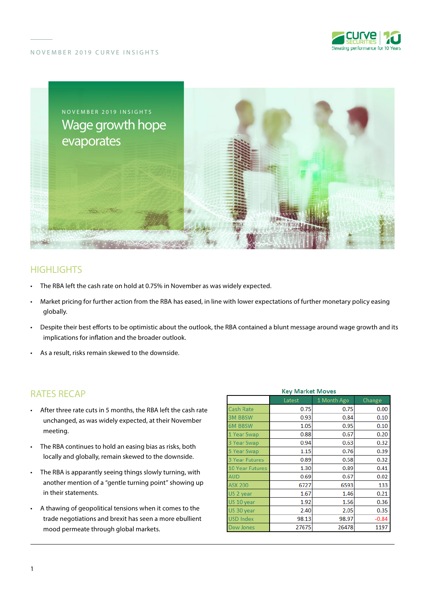



# **HIGHLIGHTS**

- The RBA left the cash rate on hold at 0.75% in November as was widely expected.
- Market pricing for further action from the RBA has eased, in line with lower expectations of further monetary policy easing globally.
- Despite their best efforts to be optimistic about the outlook, the RBA contained a blunt message around wage growth and its implications for inflation and the broader outlook.
- As a result, risks remain skewed to the downside.

### RATES RECAP

- After three rate cuts in 5 months, the RBA left the cash rate unchanged, as was widely expected, at their November meeting.
- The RBA continues to hold an easing bias as risks, both locally and globally, remain skewed to the downside.
- The RBA is apparantly seeing things slowly turning, with another mention of a "gentle turning point" showing up in their statements.
- A thawing of geopolitical tensions when it comes to the trade negotiations and brexit has seen a more ebullient mood permeate through global markets.

| <b>Key Market Moves</b> |        |             |         |
|-------------------------|--------|-------------|---------|
|                         | Latest | 1 Month Ago | Change  |
| Cash Rate               | 0.75   | 0.75        | 0.00    |
| <b>3M BBSW</b>          | 0.93   | 0.84        | 0.10    |
| <b>6M BBSW</b>          | 1.05   | 0.95        | 0.10    |
| 1 Year Swap             | 0.88   | 0.67        | 0.20    |
| 3 Year Swap             | 0.94   | 0.63        | 0.32    |
| 5 Year Swap             | 1.15   | 0.76        | 0.39    |
| <b>3 Year Futures</b>   | 0.89   | 0.58        | 0.32    |
| <b>10 Year Futures</b>  | 1.30   | 0.89        | 0.41    |
| <b>AUD</b>              | 0.69   | 0.67        | 0.02    |
| <b>ASX 200</b>          | 6727   | 6593        | 133     |
| US 2 year               | 1.67   | 1.46        | 0.21    |
| US 10 year              | 1.92   | 1.56        | 0.36    |
| US 30 year              | 2.40   | 2.05        | 0.35    |
| <b>USD Index</b>        | 98.13  | 98.97       | $-0.84$ |
| <b>Dow Jones</b>        | 27675  | 26478       | 1197    |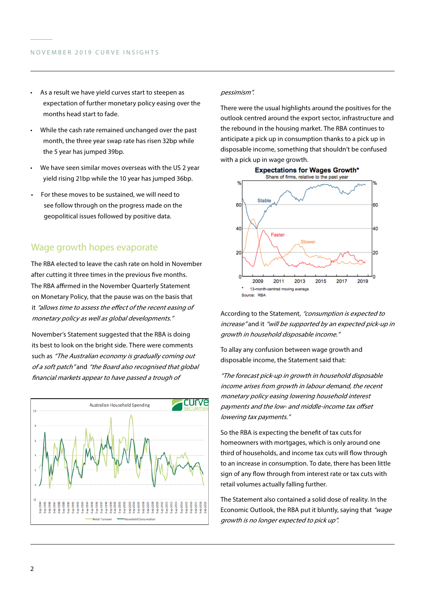- As a result we have yield curves start to steepen as expectation of further monetary policy easing over the months head start to fade.
- While the cash rate remained unchanged over the past month, the three year swap rate has risen 32bp while the 5 year has jumped 39bp.
- We have seen similar moves overseas with the US 2 year yield rising 21bp while the 10 year has jumped 36bp.
- For these moves to be sustained, we will need to see follow through on the progress made on the geopolitical issues followed by positive data.

## Wage growth hopes evaporate

The RBA elected to leave the cash rate on hold in November after cutting it three times in the previous five months. The RBA affirmed in the November Quarterly Statement on Monetary Policy, that the pause was on the basis that it "allows time to assess the effect of the recent easing of monetary policy as well as global developments."

November's Statement suggested that the RBA is doing its best to look on the bright side. There were comments such as "The Australian economy is gradually coming out of a soft patch" and "the Board also recognised that global financial markets appear to have passed a trough of



#### pessimism".

There were the usual highlights around the positives for the outlook centred around the export sector, infrastructure and the rebound in the housing market. The RBA continues to anticipate a pick up in consumption thanks to a pick up in disposable income, something that shouldn't be confused with a pick up in wage growth.



According to the Statement, "consumption is expected to increase" and it "will be supported by an expected pick-up in growth in household disposable income."

To allay any confusion between wage growth and disposable income, the Statement said that:

"The forecast pick-up in growth in household disposable income arises from growth in labour demand, the recent monetary policy easing lowering household interest payments and the low- and middle-income tax offset lowering tax payments."

So the RBA is expecting the benefit of tax cuts for homeowners with mortgages, which is only around one third of households, and income tax cuts will flow through to an increase in consumption. To date, there has been little sign of any flow through from interest rate or tax cuts with retail volumes actually falling further.

The Statement also contained a solid dose of reality. In the Economic Outlook, the RBA put it bluntly, saying that "wage growth is no longer expected to pick up".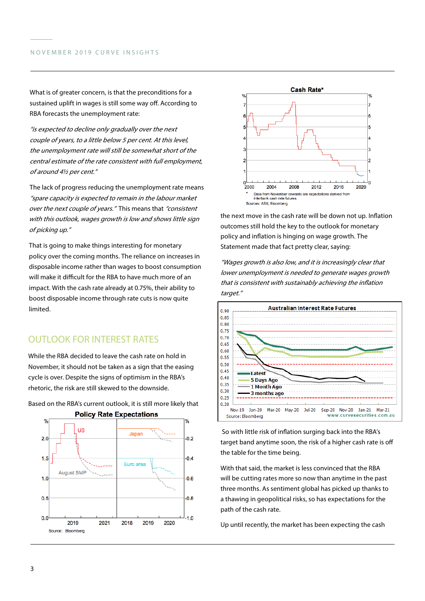What is of greater concern, is that the preconditions for a sustained uplift in wages is still some way off. According to RBA forecasts the unemployment rate:

"is expected to decline only gradually over the next couple of years, to a little below 5 per cent. At this level, the unemployment rate will still be somewhat short of the central estimate of the rate consistent with full employment, of around 4½ per cent."

The lack of progress reducing the unemployment rate means "spare capacity is expected to remain in the labour market over the next couple of years." This means that "consistent" with this outlook, wages growth is low and shows little sign of picking up."

That is going to make things interesting for monetary policy over the coming months. The reliance on increases in disposable income rather than wages to boost consumption will make it difficult for the RBA to have much more of an impact. With the cash rate already at 0.75%, their ability to boost disposable income through rate cuts is now quite limited.

# OUTLOOK FOR INTEREST RATES

While the RBA decided to leave the cash rate on hold in November, it should not be taken as a sign that the easing cycle is over. Despite the signs of optimism in the RBA's rhetoric, the risk are still skewed to the downside.



Based on the RBA's current outlook, it is still more likely that



the next move in the cash rate will be down not up. Inflation outcomes still hold the key to the outlook for monetary policy and inflation is hinging on wage growth. The Statement made that fact pretty clear, saying:

"Wages growth is also low, and it is increasingly clear that lower unemployment is needed to generate wages growth that is consistent with sustainably achieving the inflation target."



 So with little risk of inflation surging back into the RBA's target band anytime soon, the risk of a higher cash rate is off the table for the time being.

With that said, the market is less convinced that the RBA will be cutting rates more so now than anytime in the past three months. As sentiment global has picked up thanks to a thawing in geopolitical risks, so has expectations for the path of the cash rate.

Up until recently, the market has been expecting the cash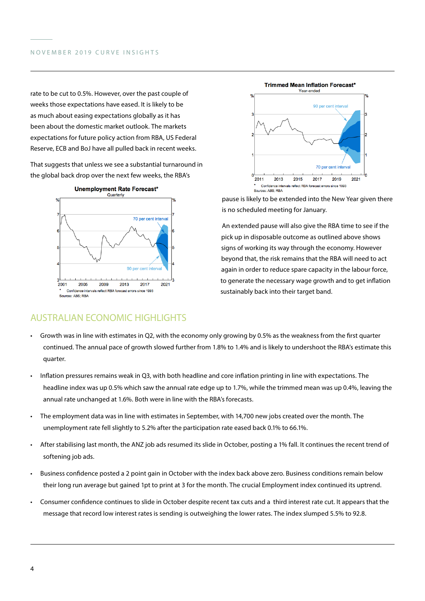rate to be cut to 0.5%. However, over the past couple of weeks those expectations have eased. It is likely to be as much about easing expectations globally as it has been about the domestic market outlook. The markets expectations for future policy action from RBA, US Federal Reserve, ECB and BoJ have all pulled back in recent weeks.

That suggests that unless we see a substantial turnaround in the global back drop over the next few weeks, the RBA's



AUSTRALIAN ECONOMIC HIGHLIGHTS

### **Trimmed Mean Inflation Forecast\*** Year-ended 90 per cent inter 70 per cent interva  $\mathbf 0$ 2021 2011 2013 2015 2017 2019 Confidence inter eflect RBA forecast errors since 1993 Sources: ABS; RBA

pause is likely to be extended into the New Year given there is no scheduled meeting for January.

An extended pause will also give the RBA time to see if the pick up in disposable outcome as outlined above shows signs of working its way through the economy. However beyond that, the risk remains that the RBA will need to act again in order to reduce spare capacity in the labour force, to generate the necessary wage growth and to get inflation sustainably back into their target band.

- Growth was in line with estimates in Q2, with the economy only growing by 0.5% as the weakness from the first quarter continued. The annual pace of growth slowed further from 1.8% to 1.4% and is likely to undershoot the RBA's estimate this quarter.
- Inflation pressures remains weak in Q3, with both headline and core inflation printing in line with expectations. The headline index was up 0.5% which saw the annual rate edge up to 1.7%, while the trimmed mean was up 0.4%, leaving the annual rate unchanged at 1.6%. Both were in line with the RBA's forecasts.
- The employment data was in line with estimates in September, with 14,700 new jobs created over the month. The unemployment rate fell slightly to 5.2% after the participation rate eased back 0.1% to 66.1%.
- After stabilising last month, the ANZ job ads resumed its slide in October, posting a 1% fall. It continues the recent trend of softening job ads.
- Business confidence posted a 2 point gain in October with the index back above zero. Business conditions remain below their long run average but gained 1pt to print at 3 for the month. The crucial Employment index continued its uptrend.
- Consumer confidence continues to slide in October despite recent tax cuts and a third interest rate cut. It appears that the message that record low interest rates is sending is outweighing the lower rates. The index slumped 5.5% to 92.8.